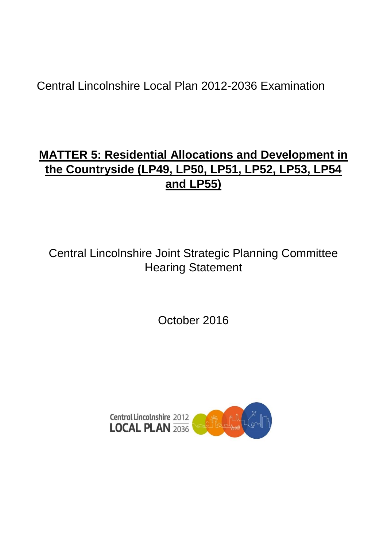# Central Lincolnshire Local Plan 2012-2036 Examination

# **MATTER 5: Residential Allocations and Development in the Countryside (LP49, LP50, LP51, LP52, LP53, LP54 and LP55)**

Central Lincolnshire Joint Strategic Planning Committee Hearing Statement

October 2016

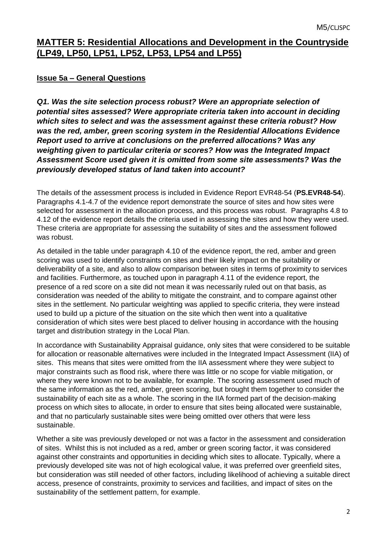# **MATTER 5: Residential Allocations and Development in the Countryside (LP49, LP50, LP51, LP52, LP53, LP54 and LP55)**

# **Issue 5a – General Questions**

*Q1. Was the site selection process robust? Were an appropriate selection of potential sites assessed? Were appropriate criteria taken into account in deciding which sites to select and was the assessment against these criteria robust? How was the red, amber, green scoring system in the Residential Allocations Evidence Report used to arrive at conclusions on the preferred allocations? Was any weighting given to particular criteria or scores? How was the Integrated Impact Assessment Score used given it is omitted from some site assessments? Was the previously developed status of land taken into account?*

The details of the assessment process is included in Evidence Report EVR48-54 (**PS.EVR48-54**). Paragraphs 4.1-4.7 of the evidence report demonstrate the source of sites and how sites were selected for assessment in the allocation process, and this process was robust. Paragraphs 4.8 to 4.12 of the evidence report details the criteria used in assessing the sites and how they were used. These criteria are appropriate for assessing the suitability of sites and the assessment followed was robust.

As detailed in the table under paragraph 4.10 of the evidence report, the red, amber and green scoring was used to identify constraints on sites and their likely impact on the suitability or deliverability of a site, and also to allow comparison between sites in terms of proximity to services and facilities. Furthermore, as touched upon in paragraph 4.11 of the evidence report, the presence of a red score on a site did not mean it was necessarily ruled out on that basis, as consideration was needed of the ability to mitigate the constraint, and to compare against other sites in the settlement. No particular weighting was applied to specific criteria, they were instead used to build up a picture of the situation on the site which then went into a qualitative consideration of which sites were best placed to deliver housing in accordance with the housing target and distribution strategy in the Local Plan.

In accordance with Sustainability Appraisal guidance, only sites that were considered to be suitable for allocation or reasonable alternatives were included in the Integrated Impact Assessment (IIA) of sites. This means that sites were omitted from the IIA assessment where they were subject to major constraints such as flood risk, where there was little or no scope for viable mitigation, or where they were known not to be available, for example. The scoring assessment used much of the same information as the red, amber, green scoring, but brought them together to consider the sustainability of each site as a whole. The scoring in the IIA formed part of the decision-making process on which sites to allocate, in order to ensure that sites being allocated were sustainable, and that no particularly sustainable sites were being omitted over others that were less sustainable.

Whether a site was previously developed or not was a factor in the assessment and consideration of sites. Whilst this is not included as a red, amber or green scoring factor, it was considered against other constraints and opportunities in deciding which sites to allocate. Typically, where a previously developed site was not of high ecological value, it was preferred over greenfield sites, but consideration was still needed of other factors, including likelihood of achieving a suitable direct access, presence of constraints, proximity to services and facilities, and impact of sites on the sustainability of the settlement pattern, for example.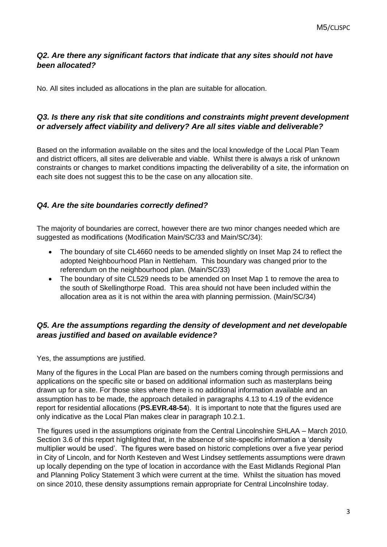## *Q2. Are there any significant factors that indicate that any sites should not have been allocated?*

No. All sites included as allocations in the plan are suitable for allocation.

# *Q3. Is there any risk that site conditions and constraints might prevent development or adversely affect viability and delivery? Are all sites viable and deliverable?*

Based on the information available on the sites and the local knowledge of the Local Plan Team and district officers, all sites are deliverable and viable. Whilst there is always a risk of unknown constraints or changes to market conditions impacting the deliverability of a site, the information on each site does not suggest this to be the case on any allocation site.

#### *Q4. Are the site boundaries correctly defined?*

The majority of boundaries are correct, however there are two minor changes needed which are suggested as modifications (Modification Main/SC/33 and Main/SC/34):

- The boundary of site CL4660 needs to be amended slightly on Inset Map 24 to reflect the adopted Neighbourhood Plan in Nettleham. This boundary was changed prior to the referendum on the neighbourhood plan. (Main/SC/33)
- The boundary of site CL529 needs to be amended on Inset Map 1 to remove the area to the south of Skellingthorpe Road. This area should not have been included within the allocation area as it is not within the area with planning permission. (Main/SC/34)

# *Q5. Are the assumptions regarding the density of development and net developable areas justified and based on available evidence?*

Yes, the assumptions are justified.

Many of the figures in the Local Plan are based on the numbers coming through permissions and applications on the specific site or based on additional information such as masterplans being drawn up for a site. For those sites where there is no additional information available and an assumption has to be made, the approach detailed in paragraphs 4.13 to 4.19 of the evidence report for residential allocations (**PS.EVR.48-54**). It is important to note that the figures used are only indicative as the Local Plan makes clear in paragraph 10.2.1.

The figures used in the assumptions originate from the Central Lincolnshire SHLAA – March 2010. Section 3.6 of this report highlighted that, in the absence of site-specific information a 'density multiplier would be used'. The figures were based on historic completions over a five year period in City of Lincoln, and for North Kesteven and West Lindsey settlements assumptions were drawn up locally depending on the type of location in accordance with the East Midlands Regional Plan and Planning Policy Statement 3 which were current at the time. Whilst the situation has moved on since 2010, these density assumptions remain appropriate for Central Lincolnshire today.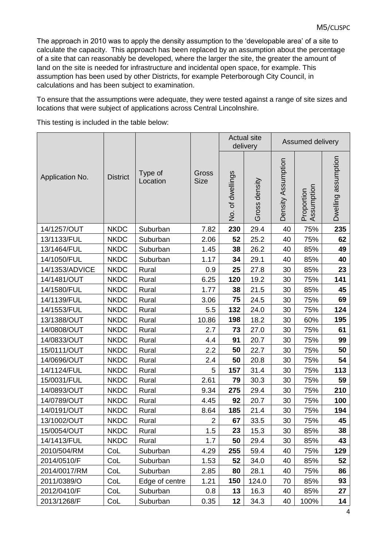The approach in 2010 was to apply the density assumption to the 'developable area' of a site to calculate the capacity. This approach has been replaced by an assumption about the percentage of a site that can reasonably be developed, where the larger the site, the greater the amount of land on the site is needed for infrastructure and incidental open space, for example. This assumption has been used by other Districts, for example Peterborough City Council, in calculations and has been subject to examination.

To ensure that the assumptions were adequate, they were tested against a range of site sizes and locations that were subject of applications across Central Lincolnshire.

This testing is included in the table below:

| Application No. | <b>District</b> | Type of<br>Location | Gross<br><b>Size</b> | <b>Actual site</b><br>delivery |               | Assumed delivery   |                          |                     |
|-----------------|-----------------|---------------------|----------------------|--------------------------------|---------------|--------------------|--------------------------|---------------------|
|                 |                 |                     |                      | No. of dwellings               | Gross density | Density Assumption | Assumption<br>Proportion | Dwelling assumption |
| 14/1257/OUT     | <b>NKDC</b>     | Suburban            | 7.82                 | 230                            | 29.4          | 40                 | 75%                      | 235                 |
| 13/1133/FUL     | <b>NKDC</b>     | Suburban            | 2.06                 | 52                             | 25.2          | 40                 | 75%                      | 62                  |
| 13/1464/FUL     | <b>NKDC</b>     | Suburban            | 1.45                 | 38                             | 26.2          | 40                 | 85%                      | 49                  |
| 14/1050/FUL     | <b>NKDC</b>     | Suburban            | 1.17                 | 34                             | 29.1          | 40                 | 85%                      | 40                  |
| 14/1353/ADVICE  | <b>NKDC</b>     | Rural               | 0.9                  | 25                             | 27.8          | 30                 | 85%                      | 23                  |
| 14/1481/OUT     | <b>NKDC</b>     | Rural               | 6.25                 | 120                            | 19.2          | 30                 | 75%                      | 141                 |
| 14/1580/FUL     | <b>NKDC</b>     | Rural               | 1.77                 | 38                             | 21.5          | 30                 | 85%                      | 45                  |
| 14/1139/FUL     | <b>NKDC</b>     | Rural               | 3.06                 | 75                             | 24.5          | 30                 | 75%                      | 69                  |
| 14/1553/FUL     | <b>NKDC</b>     | Rural               | 5.5                  | 132                            | 24.0          | 30                 | 75%                      | 124                 |
| 13/1388/OUT     | <b>NKDC</b>     | Rural               | 10.86                | 198                            | 18.2          | 30                 | 60%                      | 195                 |
| 14/0808/OUT     | <b>NKDC</b>     | Rural               | 2.7                  | 73                             | 27.0          | 30                 | 75%                      | 61                  |
| 14/0833/OUT     | <b>NKDC</b>     | Rural               | 4.4                  | 91                             | 20.7          | 30                 | 75%                      | 99                  |
| 15/0111/OUT     | <b>NKDC</b>     | Rural               | 2.2                  | 50                             | 22.7          | 30                 | 75%                      | 50                  |
| 14/0696/OUT     | <b>NKDC</b>     | Rural               | 2.4                  | 50                             | 20.8          | 30                 | 75%                      | 54                  |
| 14/1124/FUL     | <b>NKDC</b>     | Rural               | 5                    | 157                            | 31.4          | 30                 | 75%                      | 113                 |
| 15/0031/FUL     | <b>NKDC</b>     | Rural               | 2.61                 | 79                             | 30.3          | 30                 | 75%                      | 59                  |
| 14/0893/OUT     | <b>NKDC</b>     | Rural               | 9.34                 | 275                            | 29.4          | 30                 | 75%                      | 210                 |
| 14/0789/OUT     | <b>NKDC</b>     | Rural               | 4.45                 | 92                             | 20.7          | 30                 | 75%                      | 100                 |
| 14/0191/OUT     | <b>NKDC</b>     | Rural               | 8.64                 | 185                            | 21.4          | 30                 | 75%                      | 194                 |
| 13/1002/OUT     | <b>NKDC</b>     | Rural               | 2                    | 67                             | 33.5          | 30                 | 75%                      | 45                  |
| 15/0054/OUT     | <b>NKDC</b>     | Rural               | 1.5                  | 23                             | 15.3          | 30                 | 85%                      | 38                  |
| 14/1413/FUL     | <b>NKDC</b>     | Rural               | 1.7                  | 50                             | 29.4          | 30                 | 85%                      | 43                  |
| 2010/504/RM     | CoL             | Suburban            | 4.29                 | 255                            | 59.4          | 40                 | 75%                      | 129                 |
| 2014/0510/F     | CoL             | Suburban            | 1.53                 | 52                             | 34.0          | 40                 | 85%                      | 52                  |
| 2014/0017/RM    | CoL             | Suburban            | 2.85                 | 80                             | 28.1          | 40                 | 75%                      | 86                  |
| 2011/0389/O     | CoL             | Edge of centre      | 1.21                 | 150                            | 124.0         | 70                 | 85%                      | 93                  |
| 2012/0410/F     | CoL             | Suburban            | 0.8                  | 13                             | 16.3          | 40                 | 85%                      | 27                  |
| 2013/1268/F     | CoL             | Suburban            | 0.35                 | 12                             | 34.3          | 40                 | 100%                     | 14                  |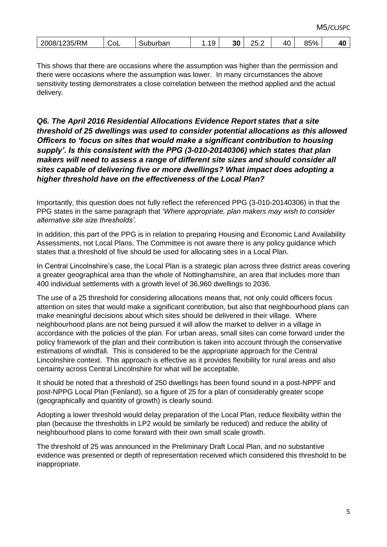| 2008/1235/RM | CoL | Suburban | 10<br>. | 30 | つに<br>∠∪.∠ | 4Λ<br>᠇◡ | 85% | Лſ<br>тv |
|--------------|-----|----------|---------|----|------------|----------|-----|----------|
|              |     |          |         |    |            |          |     |          |

This shows that there are occasions where the assumption was higher than the permission and there were occasions where the assumption was lower. In many circumstances the above sensitivity testing demonstrates a close correlation between the method applied and the actual delivery.

#### *Q6. The April 2016 Residential Allocations Evidence Report states that a site threshold of 25 dwellings was used to consider potential allocations as this allowed Officers to 'focus on sites that would make a significant contribution to housing supply'. Is this consistent with the PPG (3-010-20140306) which states that plan makers will need to assess a range of different site sizes and should consider all sites capable of delivering five or more dwellings? What impact does adopting a higher threshold have on the effectiveness of the Local Plan?*

Importantly, this question does not fully reflect the referenced PPG (3-010-20140306) in that the PPG states in the same paragraph that '*Where appropriate, plan makers may wish to consider alternative site size thresholds'*.

In addition, this part of the PPG is in relation to preparing Housing and Economic Land Availability Assessments, not Local Plans. The Committee is not aware there is any policy guidance which states that a threshold of five should be used for allocating sites in a Local Plan.

In Central Lincolnshire's case, the Local Plan is a strategic plan across three district areas covering a greater geographical area than the whole of Nottinghamshire, an area that includes more than 400 individual settlements with a growth level of 36,960 dwellings to 2036.

The use of a 25 threshold for considering allocations means that, not only could officers focus attention on sites that would make a significant contribution, but also that neighbourhood plans can make meaningful decisions about which sites should be delivered in their village. Where neighbourhood plans are not being pursued it will allow the market to deliver in a village in accordance with the policies of the plan. For urban areas, small sites can come forward under the policy framework of the plan and their contribution is taken into account through the conservative estimations of windfall. This is considered to be the appropriate approach for the Central Lincolnshire context. This approach is effective as it provides flexibility for rural areas and also certainty across Central Lincolnshire for what will be acceptable.

It should be noted that a threshold of 250 dwellings has been found sound in a post-NPPF and post-NPPG Local Plan (Fenland), so a figure of 25 for a plan of considerably greater scope (geographically and quantity of growth) is clearly sound.

Adopting a lower threshold would delay preparation of the Local Plan, reduce flexibility within the plan (because the thresholds in LP2 would be similarly be reduced) and reduce the ability of neighbourhood plans to come forward with their own small scale growth.

The threshold of 25 was announced in the Preliminary Draft Local Plan, and no substantive evidence was presented or depth of representation received which considered this threshold to be inappropriate.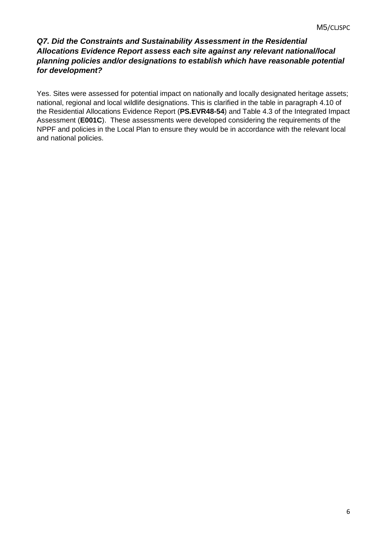# *Q7. Did the Constraints and Sustainability Assessment in the Residential Allocations Evidence Report assess each site against any relevant national/local planning policies and/or designations to establish which have reasonable potential for development?*

Yes. Sites were assessed for potential impact on nationally and locally designated heritage assets; national, regional and local wildlife designations. This is clarified in the table in paragraph 4.10 of the Residential Allocations Evidence Report (**PS.EVR48-54**) and Table 4.3 of the Integrated Impact Assessment (**E001C**). These assessments were developed considering the requirements of the NPPF and policies in the Local Plan to ensure they would be in accordance with the relevant local and national policies.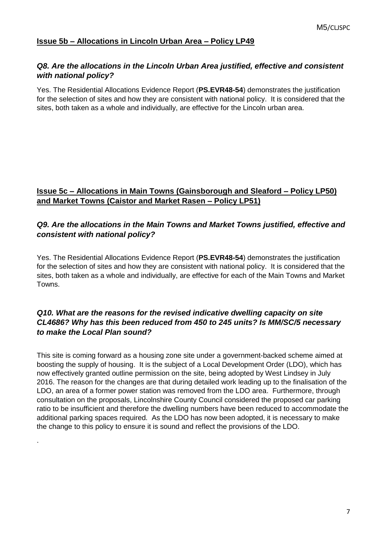#### *Q8. Are the allocations in the Lincoln Urban Area justified, effective and consistent with national policy?*

Yes. The Residential Allocations Evidence Report (**PS.EVR48-54**) demonstrates the justification for the selection of sites and how they are consistent with national policy. It is considered that the sites, both taken as a whole and individually, are effective for the Lincoln urban area.

# **Issue 5c – Allocations in Main Towns (Gainsborough and Sleaford – Policy LP50) and Market Towns (Caistor and Market Rasen – Policy LP51)**

## *Q9. Are the allocations in the Main Towns and Market Towns justified, effective and consistent with national policy?*

Yes. The Residential Allocations Evidence Report (**PS.EVR48-54**) demonstrates the justification for the selection of sites and how they are consistent with national policy. It is considered that the sites, both taken as a whole and individually, are effective for each of the Main Towns and Market Towns.

# *Q10. What are the reasons for the revised indicative dwelling capacity on site CL4686? Why has this been reduced from 450 to 245 units? Is MM/SC/5 necessary to make the Local Plan sound?*

This site is coming forward as a housing zone site under a government-backed scheme aimed at boosting the supply of housing. It is the subject of a Local Development Order (LDO), which has now effectively granted outline permission on the site, being adopted by West Lindsey in July 2016. The reason for the changes are that during detailed work leading up to the finalisation of the LDO, an area of a former power station was removed from the LDO area. Furthermore, through consultation on the proposals, Lincolnshire County Council considered the proposed car parking ratio to be insufficient and therefore the dwelling numbers have been reduced to accommodate the additional parking spaces required. As the LDO has now been adopted, it is necessary to make the change to this policy to ensure it is sound and reflect the provisions of the LDO.

.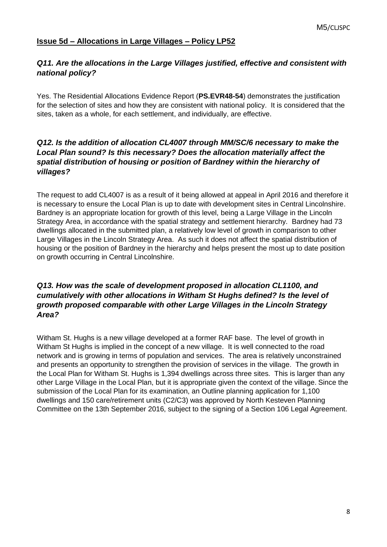#### **Issue 5d – Allocations in Large Villages – Policy LP52**

# *Q11. Are the allocations in the Large Villages justified, effective and consistent with national policy?*

Yes. The Residential Allocations Evidence Report (**PS.EVR48-54**) demonstrates the justification for the selection of sites and how they are consistent with national policy. It is considered that the sites, taken as a whole, for each settlement, and individually, are effective.

# *Q12. Is the addition of allocation CL4007 through MM/SC/6 necessary to make the Local Plan sound? Is this necessary? Does the allocation materially affect the spatial distribution of housing or position of Bardney within the hierarchy of villages?*

The request to add CL4007 is as a result of it being allowed at appeal in April 2016 and therefore it is necessary to ensure the Local Plan is up to date with development sites in Central Lincolnshire. Bardney is an appropriate location for growth of this level, being a Large Village in the Lincoln Strategy Area, in accordance with the spatial strategy and settlement hierarchy. Bardney had 73 dwellings allocated in the submitted plan, a relatively low level of growth in comparison to other Large Villages in the Lincoln Strategy Area. As such it does not affect the spatial distribution of housing or the position of Bardney in the hierarchy and helps present the most up to date position on growth occurring in Central Lincolnshire.

## *Q13. How was the scale of development proposed in allocation CL1100, and cumulatively with other allocations in Witham St Hughs defined? Is the level of growth proposed comparable with other Large Villages in the Lincoln Strategy Area?*

Witham St. Hughs is a new village developed at a former RAF base. The level of growth in Witham St Hughs is implied in the concept of a new village. It is well connected to the road network and is growing in terms of population and services. The area is relatively unconstrained and presents an opportunity to strengthen the provision of services in the village. The growth in the Local Plan for Witham St. Hughs is 1,394 dwellings across three sites. This is larger than any other Large Village in the Local Plan, but it is appropriate given the context of the village. Since the submission of the Local Plan for its examination, an Outline planning application for 1,100 dwellings and 150 care/retirement units (C2/C3) was approved by North Kesteven Planning Committee on the 13th September 2016, subject to the signing of a Section 106 Legal Agreement.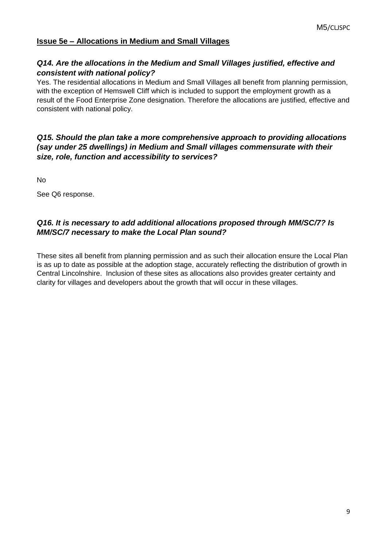#### **Issue 5e – Allocations in Medium and Small Villages**

### *Q14. Are the allocations in the Medium and Small Villages justified, effective and consistent with national policy?*

Yes. The residential allocations in Medium and Small Villages all benefit from planning permission, with the exception of Hemswell Cliff which is included to support the employment growth as a result of the Food Enterprise Zone designation. Therefore the allocations are justified, effective and consistent with national policy.

## *Q15. Should the plan take a more comprehensive approach to providing allocations (say under 25 dwellings) in Medium and Small villages commensurate with their size, role, function and accessibility to services?*

No

See Q6 response.

# *Q16. It is necessary to add additional allocations proposed through MM/SC/7? Is MM/SC/7 necessary to make the Local Plan sound?*

These sites all benefit from planning permission and as such their allocation ensure the Local Plan is as up to date as possible at the adoption stage, accurately reflecting the distribution of growth in Central Lincolnshire. Inclusion of these sites as allocations also provides greater certainty and clarity for villages and developers about the growth that will occur in these villages.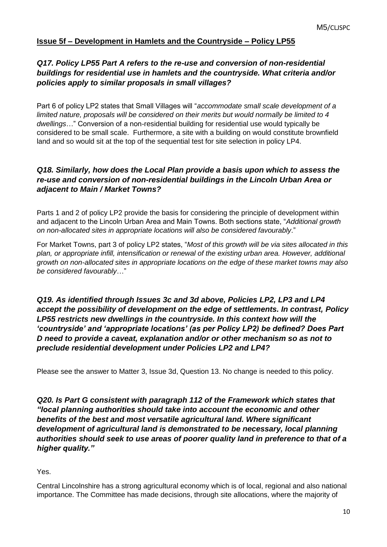# **Issue 5f – Development in Hamlets and the Countryside – Policy LP55**

# *Q17. Policy LP55 Part A refers to the re-use and conversion of non-residential buildings for residential use in hamlets and the countryside. What criteria and/or policies apply to similar proposals in small villages?*

Part 6 of policy LP2 states that Small Villages will "*accommodate small scale development of a limited nature, proposals will be considered on their merits but would normally be limited to 4 dwellings*…" Conversion of a non-residential building for residential use would typically be considered to be small scale. Furthermore, a site with a building on would constitute brownfield land and so would sit at the top of the sequential test for site selection in policy LP4.

#### *Q18. Similarly, how does the Local Plan provide a basis upon which to assess the re-use and conversion of non-residential buildings in the Lincoln Urban Area or adjacent to Main / Market Towns?*

Parts 1 and 2 of policy LP2 provide the basis for considering the principle of development within and adjacent to the Lincoln Urban Area and Main Towns. Both sections state, "*Additional growth on non-allocated sites in appropriate locations will also be considered favourably*."

For Market Towns, part 3 of policy LP2 states, "*Most of this growth will be via sites allocated in this plan, or appropriate infill, intensification or renewal of the existing urban area. However, additional growth on non-allocated sites in appropriate locations on the edge of these market towns may also be considered favourably*…"

# *Q19. As identified through Issues 3c and 3d above, Policies LP2, LP3 and LP4 accept the possibility of development on the edge of settlements. In contrast, Policy LP55 restricts new dwellings in the countryside. In this context how will the 'countryside' and 'appropriate locations' (as per Policy LP2) be defined? Does Part D need to provide a caveat, explanation and/or or other mechanism so as not to preclude residential development under Policies LP2 and LP4?*

Please see the answer to Matter 3, Issue 3d, Question 13. No change is needed to this policy.

**Q20. Is Part G consistent with paragraph 112 of the Framework which states that** *"local planning authorities should take into account the economic and other benefits of the best and most versatile agricultural land. Where significant development of agricultural land is demonstrated to be necessary, local planning authorities should seek to use areas of poorer quality land in preference to that of a higher quality."*

Yes.

Central Lincolnshire has a strong agricultural economy which is of local, regional and also national importance. The Committee has made decisions, through site allocations, where the majority of